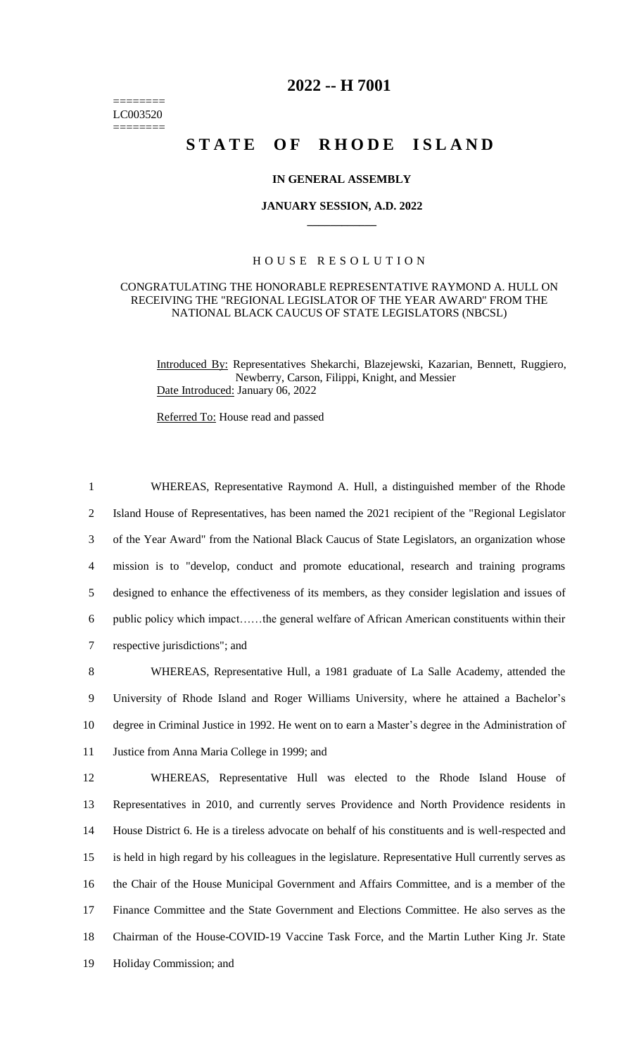======== LC003520 ========

## **2022 -- H 7001**

# STATE OF RHODE ISLAND

#### **IN GENERAL ASSEMBLY**

#### **JANUARY SESSION, A.D. 2022 \_\_\_\_\_\_\_\_\_\_\_\_**

### H O U S E R E S O L U T I O N

#### CONGRATULATING THE HONORABLE REPRESENTATIVE RAYMOND A. HULL ON RECEIVING THE "REGIONAL LEGISLATOR OF THE YEAR AWARD" FROM THE NATIONAL BLACK CAUCUS OF STATE LEGISLATORS (NBCSL)

Introduced By: Representatives Shekarchi, Blazejewski, Kazarian, Bennett, Ruggiero, Newberry, Carson, Filippi, Knight, and Messier Date Introduced: January 06, 2022

Referred To: House read and passed

 WHEREAS, Representative Raymond A. Hull, a distinguished member of the Rhode Island House of Representatives, has been named the 2021 recipient of the "Regional Legislator of the Year Award" from the National Black Caucus of State Legislators, an organization whose mission is to "develop, conduct and promote educational, research and training programs designed to enhance the effectiveness of its members, as they consider legislation and issues of public policy which impact……the general welfare of African American constituents within their respective jurisdictions"; and

 WHEREAS, Representative Hull, a 1981 graduate of La Salle Academy, attended the University of Rhode Island and Roger Williams University, where he attained a Bachelor's degree in Criminal Justice in 1992. He went on to earn a Master's degree in the Administration of Justice from Anna Maria College in 1999; and

 WHEREAS, Representative Hull was elected to the Rhode Island House of Representatives in 2010, and currently serves Providence and North Providence residents in House District 6. He is a tireless advocate on behalf of his constituents and is well-respected and is held in high regard by his colleagues in the legislature. Representative Hull currently serves as the Chair of the House Municipal Government and Affairs Committee, and is a member of the Finance Committee and the State Government and Elections Committee. He also serves as the Chairman of the House-COVID-19 Vaccine Task Force, and the Martin Luther King Jr. State Holiday Commission; and